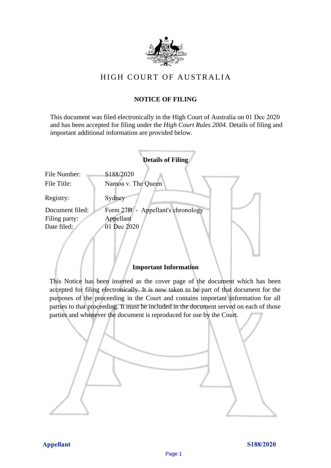

# HIGH COURT OF AU STRALIA HIGH COURT OF AUSTRALIA

## **NOTICE OF FILING** NOTICE OF FILING

This document was filed electronically in the High Court of Australia on 01 Dec 2020 This document was filed electronically in the High Court of Australia <sup>20</sup> and has been accepted for filing under the *High Court Rules 2004*. Details of filing and important additional information are provided below. important additional information are provided below.

|                 | <b>Details of Filing</b>          |
|-----------------|-----------------------------------|
| File Number:    | S188/2020                         |
| File Title:     | Namoa v. The Queen                |
| Registry:       | Sydney                            |
| Document filed: | Form 27B - Appellant's chronology |
| Filing party:   | Appellant                         |
| Date filed:     | 01 Dec 2020                       |
|                 |                                   |

## **Important Information** Important Information

This Notice has been inserted as the cover page of the document which has been accepted for filing electronically. It is now taken to be part of that document for the purposes of the proceeding in the Court and contains important information for all parties to that proceeding. It must be included in the document served on each of those parties and whenever the document is reproduced for use by the Court. parties and whenever the document is reproduced for use by the Court